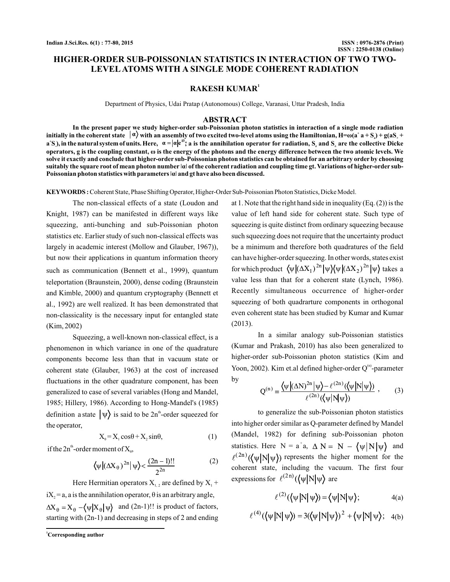# **HIGHER-ORDER SUB-POISSONIAN STATISTICS IN INTERACTION OF TWO TWO-LEVEL ATOMS WITH A SINGLE MODE COHERENT RADIATION**

## **RAKESH KUMAR<sup>1</sup>**

Department of Physics, Udai Pratap (Autonomous) College, Varanasi, Uttar Pradesh, India

#### **ABSTRACT**

**In the present paper we study higher-order sub-Poissonian photon statistics in interaction of a single mode radiation** initially in the coherent state  $\ket{a}$  with an assembly of two excited two-level atoms using the Hamiltonian, H= $\omega(a^*a + S_\iota) + g(aS_\iota + S_\iota)$  $a$  S), in the natural system of units. Here,  $a = |a|e^{i\theta}$  , a is the annihilation operator for radiation,  $S_z$  and  $S_z$  are the collective Dicke operators, g is the coupling constant, ω is the energy of the photons and the energy difference between the two atomic levels. We **solve it exactly and conclude that higher-order sub-Poissonian photon statistics can be obtained for an arbitrary order by choosing suitably the square root of mean photon number ǀ ǀ of the coherent radiation and coupling time gt. Variations of higher-order sub-α** Poissonian photon statistics with parameters |a| and gt have also been discussed.

Coherent State, Phase Shifting Operator, Higher-Order Sub-Poissonian Photon Statistics, Dicke Model. **KEYWORDS :**

The non-classical effects of a state (Loudon and Knight, 1987) can be manifested in different ways like squeezing, anti-bunching and sub-Poissonian photon statistics etc. Earlier study of such non-classical effects was largely in academic interest (Mollow and Glauber, 1967)), but now their applications in quantum information theory such as communication (Bennett et al., 1999), quantum teleportation (Braunstein, 2000), dense coding (Braunstein and Kimble, 2000) and quantum cryptography (Bennett et al., 1992) are well realized. It has been demonstrated that non-classicality is the necessary input for entangled state (Kim, 2002)

Squeezing, a well-known non-classical effect, is a phenomenon in which variance in one of the quadrature components become less than that in vacuum state or coherent state (Glauber, 1963) at the cost of increased fluctuations in the other quadrature component, has been generalized to case of several variables (Hong and Mandel, 1985; Hillery, 1986). According to Hong-Mandel's (1985) definition a state  $|\psi\rangle$  is said to be 2n<sup>th</sup>-order squeezed for the operator,

$$
X_{\theta} = X_1 \cos \theta + X_2 \sin \theta, \tag{1}
$$

if the  $2n^{\text{th}}$ -order moment of  $X_{\theta}$ ,

$$
\langle \psi | (\Delta X_{\theta})^{2n} | \psi \rangle < \frac{(2n-1)!!}{2^{2n}} \tag{2}
$$

Here Hermitian operators  $X_{1, 2}$  are defined by  $X_1$  +

i $X_2$  = a, a is the annihilation operator,  $\theta$  is an arbitrary angle,  $\Delta X_{\theta} = X_{\theta} - \langle \psi | X_{\theta} | \psi \rangle$  and (2n-1)!! is product of factors, starting with (2n-1) and decreasing in steps of 2 and ending

**<sup>1</sup>Corresponding author**

at 1. Note that the right hand side in inequality (Eq. (2)) is the value of left hand side for coherent state. Such type of squeezing is quite distinct from ordinary squeezing because such squeezing does not require that the uncertainty product be a minimum and therefore both quadratures of the field can have higher-order squeezing. In other words, states exist for which product  $\langle \psi | (\Delta X_1)^{2n} | \psi \rangle (\psi | (\Delta X_2)^{2n} | \psi \rangle)$  takes a value less than that for a coherent state (Lynch, 1986). Recently simultaneous occurrence of higher-order squeezing of both quadrarture components in orthogonal even coherent state has been studied by Kumar and Kumar (2013).

In a similar analogy sub-Poissonian statistics (Kumar and Prakash, 2010) has also been generalized to higher-order sub-Poissonian photon statistics (Kim and Yoon, 2002). Kim et.al defined higher-order  $Q<sup>(n)</sup>$ -parameter by

$$
Q^{(n)} = \frac{\langle \psi | (\Delta N)^{2n} | \psi \rangle - \ell^{(2n)} (\langle \psi | N | \psi \rangle)}{\ell^{(2n)} (\langle \psi | N | \psi \rangle)}, \qquad (3)
$$

to generalize the sub-Poissonian photon statistics into higher order similar as Q-parameter defined by Mandel (Mandel, 1982) for defining sub-Poissonian photon statistics. Here  $N = a^{\dagger}a$ ,  $\Delta N = N - \langle \psi | N | \psi \rangle$  and  $\ell^{(2n)}(\langle \psi | N | \psi \rangle)$  represents the higher moment for the coherent state, including the vacuum. The first four expressions for  $\ell^{(2n)}(\langle \psi | N | \psi \rangle)$  are

$$
\ell^{(2)}(\langle \psi | N | \psi \rangle) = \langle \psi | N | \psi \rangle; \qquad \qquad 4(a)
$$

$$
\ell^{(4)}(\langle \psi | N | \psi \rangle) = 3(\langle \psi | N | \psi \rangle)^2 + \langle \psi | N | \psi \rangle; \quad 4(b)
$$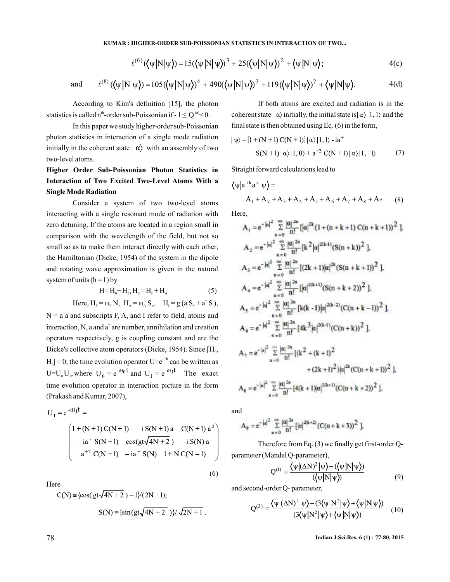$$
A_{\mathfrak{g}} = e^{-|\mathfrak{g}|^2} \sum_{n=0}^{\infty} \frac{|\mathfrak{g}|^{2n}}{n!} [4(k+1)|\mathfrak{g}|^{2(k+1)} (C(n+k+2))^2 ].
$$

and

$$
A_9 = e^{-|a|^2} \sum_{n=0}^{\infty} \frac{|a|^{2n}}{n!} \left[ |a|^{2(k+2)} (C(n+k+3))^2 \right],
$$

Therefore from Eq. (3) we finally get first-order Qparameter (Mandel Q-parameter),

$$
Q^{(1)} = \frac{\langle \psi | (\Delta N)^2 | \psi \rangle - (\langle \psi | N | \psi \rangle)}{(\langle \psi | N | \psi \rangle)}
$$
(9)

and second-order Q- parameter,

$$
Q^{(2)} = \frac{\langle \psi | (\Delta N)^{4} | \psi \rangle - (3 \langle \psi | N^{2} | \psi \rangle + \langle \psi | N | \psi \rangle)}{(3 \langle \psi | N^{2} | \psi \rangle + \langle \psi | N | \psi \rangle)} \quad (10)
$$

78 **Indian J.Sci.Res. 6 (1) : 77-80, 2015**

**KUMAR : HIGHER-ORDER SUB-POISSONIAN STATISTICS IN INTERACTION OF TWO...**

$$
\ell^{(6)}(\langle \psi | N | \psi \rangle) = 15(\langle \psi | N | \psi \rangle)^3 + 25(\langle \psi | N | \psi \rangle)^2 + \langle \psi | N | \psi \rangle; \tag{4(c)}
$$

and 
$$
\ell^{(8)}(\langle \psi | N | \psi \rangle) = 105(\langle \psi | N | \psi \rangle)^4 + 490(\langle \psi | N | \psi \rangle)^3 + 119(\langle \psi | N | \psi \rangle)^2 + \langle \psi | N | \psi \rangle.
$$
 (4(d)

According to Kim's definition [15], the photon statistics is called n<sup>th</sup>-order sub-Poissonian if  $-1 \le Q^{(n)} < 0$ .

In this paper we study higher-order sub-Poissonian photon statistics in interaction of a single mode radiation initially in the coherent state  $\ket{\alpha}$  with an assembly of two two-level atoms.

# **Higher Order Sub-Poissonian Photon Statistics in Interaction of Two Excited Two-Level Atoms With a SingleMode Radiation**

Consider a system of two two-level atoms interacting with a single resonant mode of radiation with zero detuning. If the atoms are located in a region small in comparison with the wavelength of the field, but not so small so as to make them interact directly with each other, the Hamiltonian (Dicke, 1954) of the system in the dipole and rotating wave approximation is given in the natural system of units  $(h = 1)$  by

$$
H = H_0 + H_1; H_0 = H_F + H_A
$$
 (5)

Here,  $H_F = \omega_F N$ ,  $H_A = \omega_A S_z$ ,  $H_I = g (a S_+ + a^+ S_*)$ ,

 $N = a<sup>†</sup>a$  and subscripts F, A, and I refer to field, atoms and interaction, N, a and  $a^+$  are number, annihilation and creation operators respectively, g is coupling constant and are the Dicke's collective atom operators (Dicke, 1954). Since  $[H_0,$  $H_1$ ] = 0, the time evolution operator U= $e^{-iHt}$  can be written as  $U=U_0 U_1$ , where  $U_0 = e^{-iH_0 t}$  and  $U_1 = e^{-iH_1 t}$ . The exact time evolution operator in interaction picture in the form (Prakash and Kumar, 2007),

$$
U_{I} = e^{-iH_{I}t} =
$$
\n
$$
\begin{pmatrix}\n1 + (N+1)C(N+1) & -i S(N+1)a & C(N+1) a^{2} \\
-i a^{+} S(N+1) & cos(gt\sqrt{4N+2}) & -i S(N) a \\
a^{+2} C(N+1) & -i a^{+} S(N) & 1 + N C(N-1)\n\end{pmatrix}
$$

Here

C(N) = {cos(gt
$$
\sqrt{4N+2}
$$
) - 1}/(2N + 1);  
S(N) = {sin(gt $\sqrt{4N+2}$ )}/ $\sqrt{2N+1}$ .

If both atoms are excited and radiation is in the coherent state 
$$
|\alpha\rangle
$$
 initially, the initial state is  $|\alpha\rangle|1, 1\rangle$  and the final state is then obtained using Eq. (6) in the form,

$$
|\psi\rangle = [1 + (N + 1) C(N + 1)] |\alpha\rangle |1, 1\rangle - ia^{+}
$$
  
 
$$
S(N + 1) |\alpha\rangle |1, 0\rangle + a^{+2} C(N + 1) |\alpha\rangle |1, -1\rangle
$$
 (7)

Straight forward calculations lead to

$$
\langle \psi | a^{+k} a^k | \psi \rangle =
$$
  
A<sub>1</sub> + A<sub>2</sub> + A<sub>3</sub> + A<sub>4</sub> + A<sub>5</sub> + A<sub>6</sub> + A<sub>7</sub> + A<sub>8</sub> + A<sub>9</sub> (8)

Here,

$$
A_1 = e^{-|a|^2} \sum_{n=0}^{\infty} \frac{|\alpha|^{2n}}{n!} [|\alpha|^{2k} (1 + (n+k+1) C(n+k+1))^2],
$$
  
\n
$$
A_2 = e^{-|a|^2} \sum_{n=0}^{\infty} \frac{|\alpha|^{2n}}{n!} [k^2 |\alpha|^{2(k+1)} (S(n+k))^2],
$$
  
\n
$$
A_3 = e^{-|a|^2} \sum_{n=0}^{\infty} \frac{|\alpha|^{2n}}{n!} [(2k+1)|\alpha|^{2k} (S(n+k+1))^2],
$$
  
\n
$$
A_4 = e^{-|a|^2} \sum_{n=0}^{\infty} \frac{|\alpha|^{2n}}{n!} [|a|^{2(k+1)} (S(n+k+2))^2],
$$
  
\n
$$
A_5 = e^{-|a|^2} \sum_{n=0}^{\infty} \frac{|\alpha|^{2n}}{n!} [k(k-1)|\alpha|^{2(k-2)} (C(n+k-1))^2],
$$
  
\n
$$
A_6 = e^{-|a|^2} \sum_{n=0}^{\infty} \frac{|\alpha|^{2n}}{n!} [4k^3 |\alpha|^{2(k-1)} (C(n+k))^2],
$$
  
\n
$$
A_7 = e^{-|\alpha|^2} \sum_{n=0}^{\infty} \frac{|\alpha|^{2n}}{n!} [(k^2 + (k+1)^2 + (2k+1)^2)]\alpha|^{2k} (C(n+k+1))^2],
$$
  
\n
$$
A_8 = e^{-|\alpha|^2} \sum_{n=0}^{\infty} \frac{|\alpha|^{2n}}{n!} [(k^2 + (k+1)^2 - (2k+1)^2)]\alpha|^{2k+1} (C(n+k+2))^2].
$$

(6)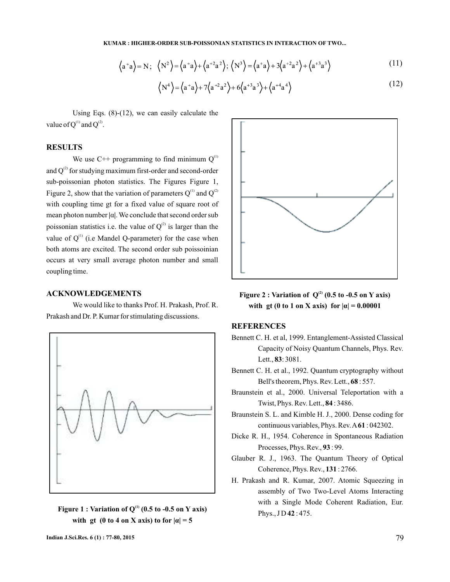**KUMAR : HIGHER-ORDER SUB-POISSONIAN STATISTICS IN INTERACTION OF TWO...**

$$
\langle a^+a \rangle = N; \quad \langle N^2 \rangle = \langle a^+a \rangle + \langle a^{+2}a^{2} \rangle; \quad \langle N^3 \rangle = \langle a^+a \rangle + 3\langle a^{+2}a^{2} \rangle + \langle a^{+3}a^{3} \rangle \tag{11}
$$

$$
\left\langle N^4 \right\rangle = \left\langle a^+ a \right\rangle + 7 \left\langle a^{+2} a^2 \right\rangle + 6 \left\langle a^{+3} a^3 \right\rangle + \left\langle a^{+4} a^4 \right\rangle \tag{12}
$$

Using Eqs. (8)-(12), we can easily calculate the value of  $Q^{(1)}$  and  $Q^{(2)}$ .

## **RESULTS**

We use  $C^{++}$  programming to find minimum  $Q^{(1)}$ and  $Q^{(2)}$  for studying maximum first-order and second-order sub-poissonian photon statistics. The Figures Figure 1, Figure 2, show that the variation of parameters  $Q^{(1)}$  and  $Q^{(2)}$ with coupling time gt for a fixed value of square root of **hareaurer** mean photon number  $\alpha$ . We conclude that second order sub poissonian statistics i.e. the value of  $Q^{(2)}$  is larger than the value of  $Q^{(1)}$  (i.e Mandel Q-parameter) for the case when both atoms are excited. The second order sub poissoinian occurs at very small average photon number and small coupling time.

#### **ACKNOWLEDGEMENTS**

We would like to thanks Prof. H. Prakash, Prof. R. Prakash and Dr. P. Kumar for stimulating discussions.







Figure 2 : Variation of  $Q^{(2)}$  (0.5 to -0.5 on Y axis) **with gt (0 to 1 on X axis) for**  $|a| = 0.00001$ 

#### **REFERENCES**

- Bennett C. H. et al, 1999. Entanglement-Assisted Classical Capacity of Noisy Quantum Channels, Phys. Rev. Lett., **83**: 3081.
- Bennett C. H. et al., 1992. Quantum cryptography without Bell's theorem, Phys. Rev. Lett., 68: 557.
- Braunstein et al., 2000. Universal Teleportation with a Twist, Phys. Rev. Lett., **84**: 3486.
- Braunstein S. L. and Kimble H. J., 2000. Dense coding for continuous variables, Phys. Rev.  $A61:042302$ .
- Dicke R. H., 1954. Coherence in Spontaneous Radiation Processes, Phys. Rev., 93:99.
- Glauber R. J., 1963. The Quantum Theory of Optical Coherence, Phys. Rev., 131:2766.
- H. Prakash and R. Kumar, 2007. Atomic Squeezing in assembly of Two Two-Level Atoms Interacting with a Single Mode Coherent Radiation, Eur. Phys., J D **42** : 475.